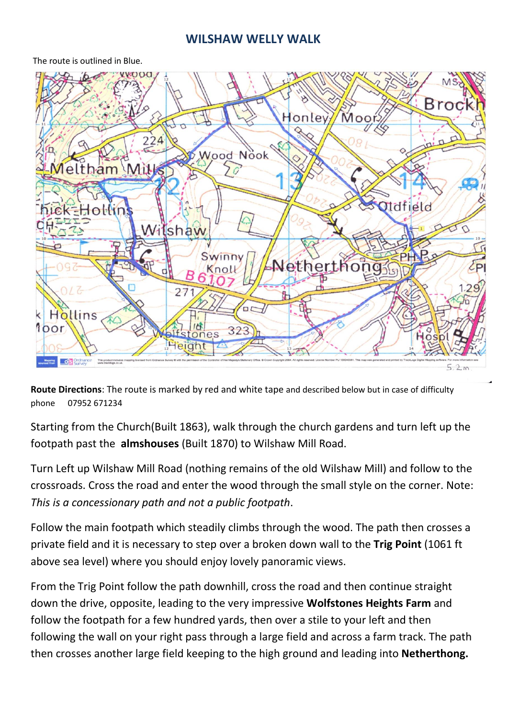## **WILSHAW WELLY WALK**

The route is outlined in Blue.



**Route Directions**: The route is marked by red and white tape and described below but in case of difficulty phone 07952 671234

Starting from the Church(Built 1863), walk through the church gardens and turn left up the footpath past the **almshouses** (Built 1870) to Wilshaw Mill Road.

Turn Left up Wilshaw Mill Road (nothing remains of the old Wilshaw Mill) and follow to the crossroads. Cross the road and enter the wood through the small style on the corner. Note: *This is a concessionary path and not a public footpath*.

Follow the main footpath which steadily climbs through the wood. The path then crosses a private field and it is necessary to step over a broken down wall to the **Trig Point** (1061 ft above sea level) where you should enjoy lovely panoramic views.

From the Trig Point follow the path downhill, cross the road and then continue straight down the drive, opposite, leading to the very impressive **Wolfstones Heights Farm** and follow the footpath for a few hundred yards, then over a stile to your left and then following the wall on your right pass through a large field and across a farm track. The path then crosses another large field keeping to the high ground and leading into **Netherthong.**